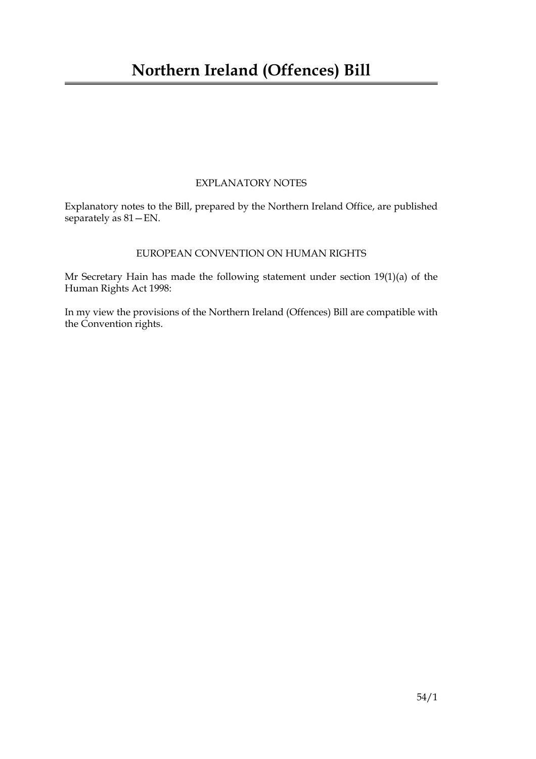#### EXPLANATORY NOTES

Explanatory notes to the Bill, prepared by the Northern Ireland Office, are published separately as  $81 - EN$ .

#### EUROPEAN CONVENTION ON HUMAN RIGHTS

Mr Secretary Hain has made the following statement under section 19(1)(a) of the Human Rights Act 1998:

In my view the provisions of the Northern Ireland (Offences) Bill are compatible with the Convention rights.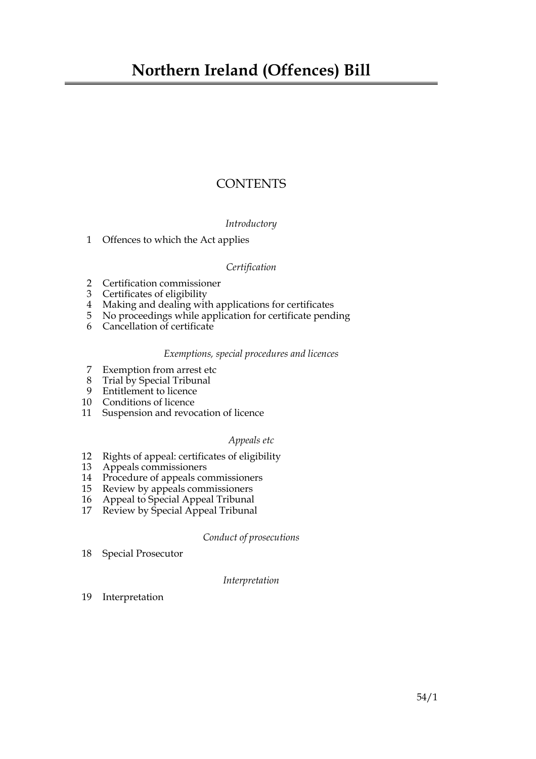#### **CONTENTS**

#### *Introductory*

[1 Offences to which the Act applies](#page-4-0)

#### *Certification*

- [2 Certification commissioner](#page-4-1)
- [3 Certificates of eligibility](#page-5-0)
- [4 Making and dealing with applications for certificates](#page-6-0)
- [5 No proceedings while application for certificate pending](#page-7-0)
- [6 Cancellation of certificate](#page-7-1)

#### *Exemptions, special procedures and licences*

- [7 Exemption from arrest etc](#page-8-0)
- [8 Trial by Special Tribunal](#page-8-1)
- [9 Entitlement to licence](#page-9-0)
- [10 Conditions of licence](#page-10-0)
- [11 Suspension and revocation of licence](#page-10-1)

#### *Appeals etc*

- [12 Rights of appeal: certificates of eligibility](#page-11-0)
- [13 Appeals commissioners](#page-11-1)
- [14 Procedure of appeals commissioners](#page-11-2)
- [15 Review by appeals commissioners](#page-11-3)
- [16 Appeal to Special Appeal Tribunal](#page-11-4)
- [17 Review by Special Appeal Tribunal](#page-12-0)

*Conduct of prosecutions*

[18 Special Prosecutor](#page-12-1)

#### *Interpretation*

19 [Interpretation](#page-13-0)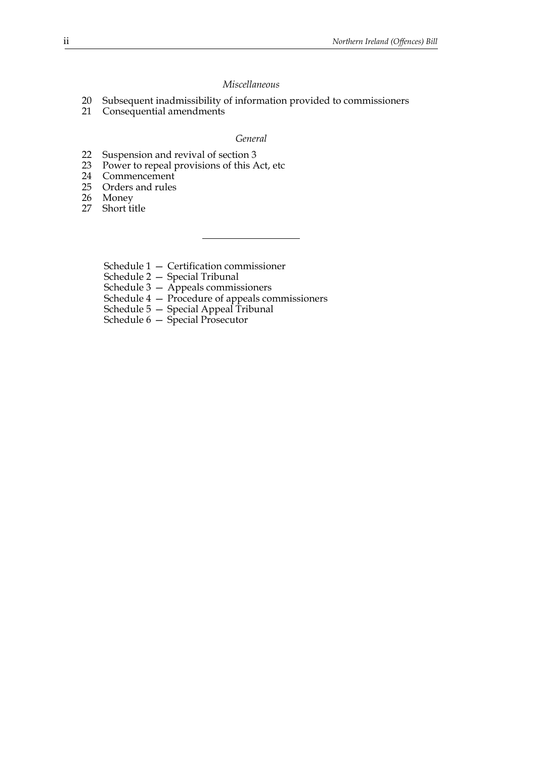#### *Miscellaneous*

- [20 Subsequent inadmissibility of information provided to commissioners](#page-13-1)
- [21 Consequential amendments](#page-14-0)

#### *General*

- 22 [Suspension and revival of section](#page-15-0) [3](#page-5-0)<br>23 Power to repeal provisions of this A
- [23 Power to repeal provisions of this Act, etc](#page-16-0)<br>24 Commencement
- [24 Commencement](#page-16-1)<br>25 Orders and rules
- Orders and rules
- [26 Money](#page-17-0)
- [27 Short title](#page-17-1)
	- Schedule  $1 -$  Certification commissioner
	- Schedule 2 Special Tribunal
	- Schedule 3 Appeals commissioners
	- Schedule 4 Procedure of appeals commissioners
	- Schedule 5 Special Appeal Tribunal
	- Schedule  $6 -$  Special Prosecutor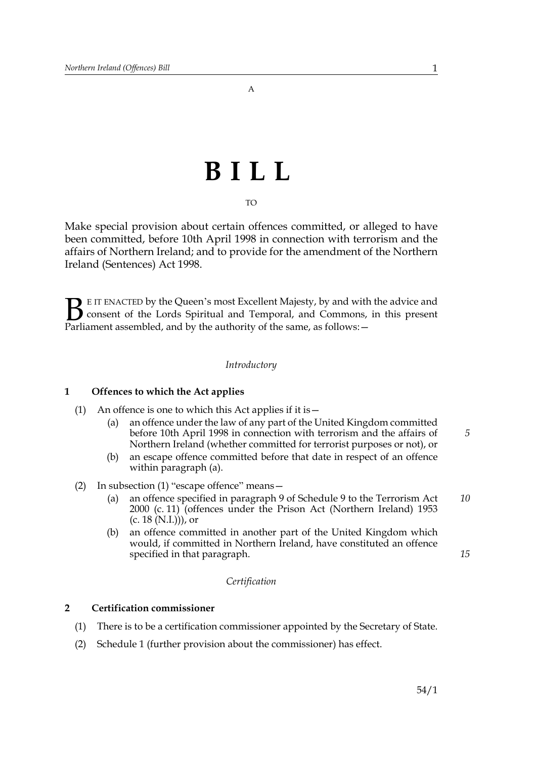# **BILL**

#### TO

Make special provision about certain offences committed, or alleged to have been committed, before 10th April 1998 in connection with terrorism and the affairs of Northern Ireland; and to provide for the amendment of the Northern Ireland (Sentences) Act 1998.

E IT ENACTED by the Queen's most Excellent Majesty, by and with the advice and consent of the Lords Spiritual and Temporal, and Commons, in this present **B** E IT ENACTED by the Queen's most Excellent Majesty, by and with consent of the Lords Spiritual and Temporal, and Commons, Parliament assembled, and by the authority of the same, as follows:  $-$ 

#### *Introductory*

#### <span id="page-4-0"></span>**1 Offences to which the Act applies**

- (1) An offence is one to which this Act applies if it is  $-$ 
	- (a) an offence under the law of any part of the United Kingdom committed before 10th April 1998 in connection with terrorism and the affairs of Northern Ireland (whether committed for terrorist purposes or not), or *5*
	- (b) an escape offence committed before that date in respect of an offence within paragraph (a).
- (2) In subsection (1) "escape offence" means  $-$ 
	- (a) an offence specified in paragraph 9 of Schedule 9 to the Terrorism Act 2000 (c. 11) (offences under the Prison Act (Northern Ireland) 1953  $(c. 18 (N.I.)))$ , or *10*
	- (b) an offence committed in another part of the United Kingdom which would, if committed in Northern Ireland, have constituted an offence specified in that paragraph.

#### *Certification*

#### <span id="page-4-1"></span>**2 Certification commissioner**

- (1) There is to be a certification commissioner appointed by the Secretary of State.
- (2) Schedule [1](#page-18-0) (further provision about the commissioner) has effect.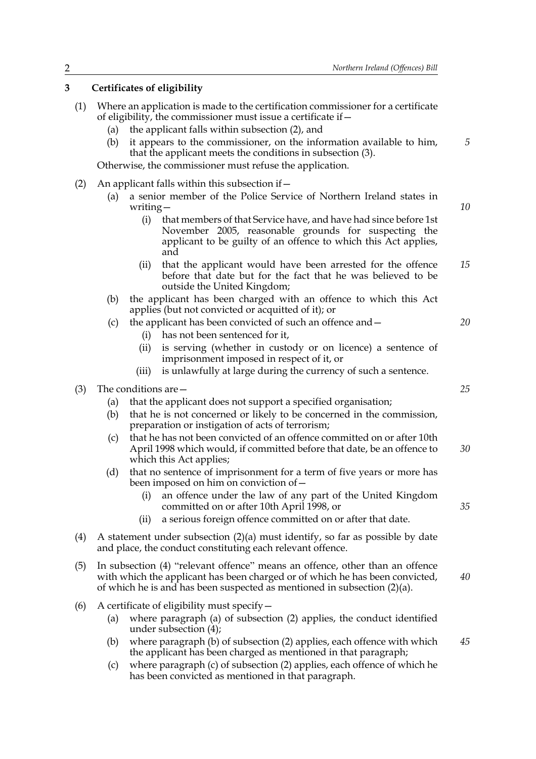#### <span id="page-5-0"></span>**3 Certificates of eligibility**

- (1) Where an application is made to the certification commissioner for a certificate of eligibility, the commissioner must issue a certificate if  $-$ 
	- (a) the applicant falls within subsection (2), and
	- (b) it appears to the commissioner, on the information available to him, that the applicant meets the conditions in subsection (3).

Otherwise, the commissioner must refuse the application.

- (2) An applicant falls within this subsection if  $-$ 
	- (a) a senior member of the Police Service of Northern Ireland states in writing $-$ 
		- (i) that members of that Service have, and have had since before 1st November 2005, reasonable grounds for suspecting the applicant to be guilty of an offence to which this Act applies, and
		- (ii) that the applicant would have been arrested for the offence before that date but for the fact that he was believed to be outside the United Kingdom; *15*
	- (b) the applicant has been charged with an offence to which this Act applies (but not convicted or acquitted of it); or
	- (c) the applicant has been convicted of such an offence and  $-$ 
		- (i) has not been sentenced for it,
		- (ii) is serving (whether in custody or on licence) a sentence of imprisonment imposed in respect of it, or
		- (iii) is unlawfully at large during the currency of such a sentence.
- (3) The conditions are  $-$ 
	- (a) that the applicant does not support a specified organisation;
	- (b) that he is not concerned or likely to be concerned in the commission, preparation or instigation of acts of terrorism;
	- (c) that he has not been convicted of an offence committed on or after 10th April 1998 which would, if committed before that date, be an offence to which this Act applies; *30*
	- (d) that no sentence of imprisonment for a term of five years or more has been imposed on him on conviction of  $-$ 
		- (i) an offence under the law of any part of the United Kingdom committed on or after 10th April 1998, or
		- (ii) a serious foreign offence committed on or after that date.
- (4) A statement under subsection (2)(a) must identify, so far as possible by date and place, the conduct constituting each relevant offence.
- $(5)$  In subsection  $(4)$  "relevant offence" means an offence, other than an offence with which the applicant has been charged or of which he has been convicted, of which he is and has been suspected as mentioned in subsection (2)(a). *40*
- (6) A certificate of eligibility must specify  $-$ 
	- (a) where paragraph (a) of subsection (2) applies, the conduct identified under subsection (4);
	- (b) where paragraph (b) of subsection (2) applies, each offence with which the applicant has been charged as mentioned in that paragraph; *45*
	- (c) where paragraph (c) of subsection (2) applies, each offence of which he has been convicted as mentioned in that paragraph.

*25*

*35*

*20*

*5*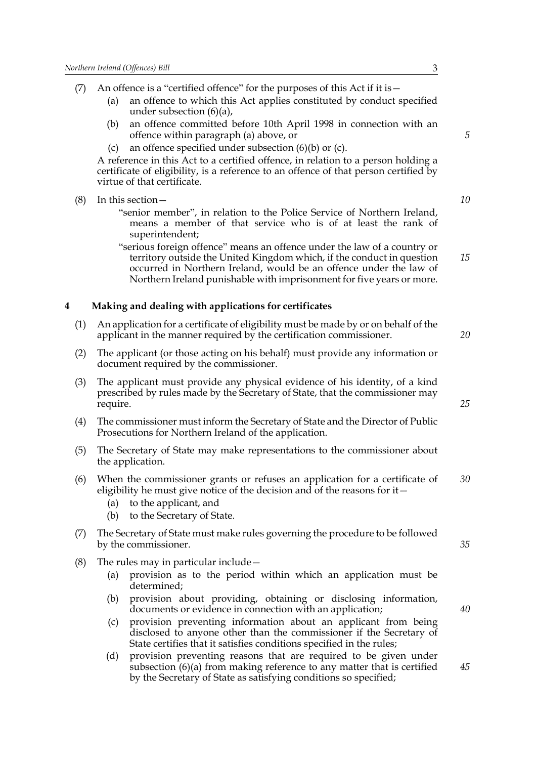<span id="page-6-0"></span>(7) An offence is a "certified offence" for the purposes of this Act if it is  $-$ (a) an offence to which this Act applies constituted by conduct specified under subsection  $(6)(a)$ , (b) an offence committed before 10th April 1998 in connection with an offence within paragraph (a) above, or (c) an offence specified under subsection  $(6)(b)$  or (c). A reference in this Act to a certified offence, in relation to a person holding a certificate of eligibility, is a reference to an offence of that person certified by virtue of that certificate.  $(8)$  In this section  $-$ "senior member", in relation to the Police Service of Northern Ireland, means a member of that service who is of at least the rank of superintendent; "serious foreign offence" means an offence under the law of a country or territory outside the United Kingdom which, if the conduct in question occurred in Northern Ireland, would be an offence under the law of Northern Ireland punishable with imprisonment for five years or more. **4 Making and dealing with applications for certificates** (1) An application for a certificate of eligibility must be made by or on behalf of the applicant in the manner required by the certification commissioner. (2) The applicant (or those acting on his behalf) must provide any information or document required by the commissioner. (3) The applicant must provide any physical evidence of his identity, of a kind prescribed by rules made by the Secretary of State, that the commissioner may require. (4) The commissioner must inform the Secretary of State and the Director of Public Prosecutions for Northern Ireland of the application. (5) The Secretary of State may make representations to the commissioner about the application. (6) When the commissioner grants or refuses an application for a certificate of eligibility he must give notice of the decision and of the reasons for it  $-$ (a) to the applicant, and (b) to the Secretary of State. (7) The Secretary of State must make rules governing the procedure to be followed by the commissioner. (8) The rules may in particular include  $-$ (a) provision as to the period within which an application must be determined; (b) provision about providing, obtaining or disclosing information, documents or evidence in connection with an application; (c) provision preventing information about an applicant from being disclosed to anyone other than the commissioner if the Secretary of

> (d) provision preventing reasons that are required to be given under subsection (6)(a) from making reference to any matter that is certified by the Secretary of State as satisfying conditions so specified;

State certifies that it satisfies conditions specified in the rules;

*10*

*15*

*5*

*20*

*25*

*35*

*30*

*40*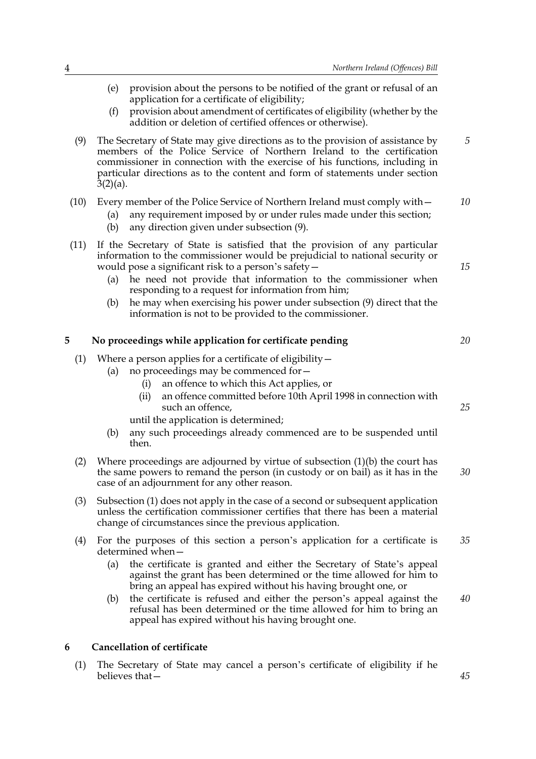*5*

*15*

*20*

*25*

- (e) provision about the persons to be notified of the grant or refusal of an application for a certificate of eligibility;
- (f) provision about amendment of certificates of eligibility (whether by the addition or deletion of certified offences or otherwise).
- <span id="page-7-2"></span>(9) The Secretary of State may give directions as to the provision of assistance by members of the Police Service of Northern Ireland to the certification commissioner in connection with the exercise of his functions, including in particular directions as to the content and form of statements under section  $3(2)(a)$ .
- (10) Every member of the Police Service of Northern Ireland must comply with  $-$ *10*
	- (a) any requirement imposed by or under rules made under this section;
	- (b) any direction given under subsection [\(9\).](#page-7-2)
- (11) If the Secretary of State is satisfied that the provision of any particular information to the commissioner would be prejudicial to national security or would pose a significant risk to a person's safety  $-$ 
	- (a) he need not provide that information to the commissioner when responding to a request for information from him;
	- (b) he may when exercising his power under subsection [\(9\)](#page-7-2) direct that the information is not to be provided to the commissioner.

#### <span id="page-7-0"></span>**5 No proceedings while application for certificate pending**

- (1) Where a person applies for a certificate of eligibility  $-$ 
	- (a) no proceedings may be commenced for  $-$ 
		- (i) an offence to which this Act applies, or
		- (ii) an offence committed before 10th April 1998 in connection with such an offence,

until the application is determined;

- (b) any such proceedings already commenced are to be suspended until then.
- (2) Where proceedings are adjourned by virtue of subsection (1)(b) the court has the same powers to remand the person (in custody or on bail) as it has in the case of an adjournment for any other reason. *30*
- (3) Subsection (1) does not apply in the case of a second or subsequent application unless the certification commissioner certifies that there has been a material change of circumstances since the previous application.
- (4) For the purposes of this section a person's application for a certificate is determined when-*35*
	- (a) the certificate is granted and either the Secretary of State's appeal against the grant has been determined or the time allowed for him to bring an appeal has expired without his having brought one, or
	- (b) the certificate is refused and either the person's appeal against the refusal has been determined or the time allowed for him to bring an appeal has expired without his having brought one. *40*

#### <span id="page-7-1"></span>**6 Cancellation of certificate**

(1) The Secretary of State may cancel a person's certificate of eligibility if he believes that  $\sim$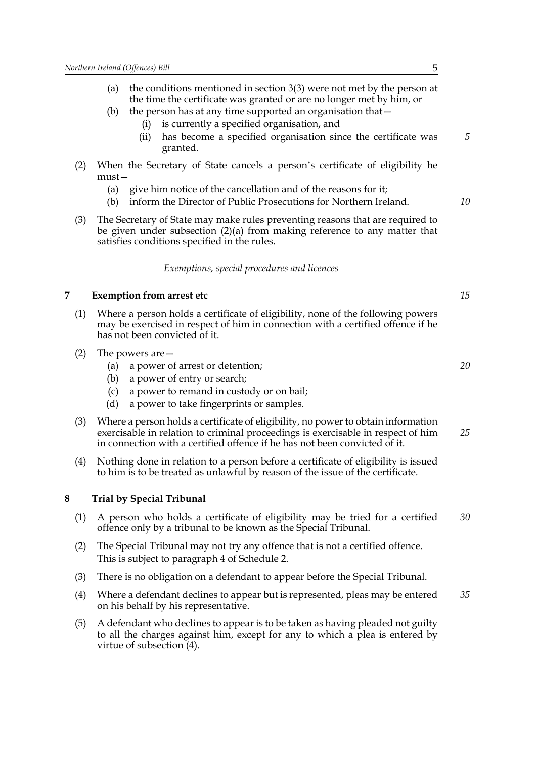- (b) the person has at any time supported an organisation that  $-$ 
	- (i) is currently a specified organisation, and
	- (ii) has become a specified organisation since the certificate was granted.
- (2) When the Secretary of State cancels a person's certificate of eligibility he  $must$ 
	- (a) give him notice of the cancellation and of the reasons for it;
	- (b) inform the Director of Public Prosecutions for Northern Ireland.
- (3) The Secretary of State may make rules preventing reasons that are required to be given under subsection (2)(a) from making reference to any matter that satisfies conditions specified in the rules.

#### *Exemptions, special procedures and licences*

#### <span id="page-8-0"></span>**7 Exemption from arrest etc**

- (1) Where a person holds a certificate of eligibility, none of the following powers may be exercised in respect of him in connection with a certified offence if he has not been convicted of it.
- (2) The powers are  $-$ 
	- (a) a power of arrest or detention;
	- (b) a power of entry or search;
	- (c) a power to remand in custody or on bail;
	- (d) a power to take fingerprints or samples.
- (3) Where a person holds a certificate of eligibility, no power to obtain information exercisable in relation to criminal proceedings is exercisable in respect of him in connection with a certified offence if he has not been convicted of it. *25*
- (4) Nothing done in relation to a person before a certificate of eligibility is issued to him is to be treated as unlawful by reason of the issue of the certificate.

#### <span id="page-8-1"></span>**8 Trial by Special Tribunal**

- (1) A person who holds a certificate of eligibility may be tried for a certified offence only by a tribunal to be known as the Special Tribunal. *30*
- (2) The Special Tribunal may not try any offence that is not a certified offence. This is subject to paragraph [4](#page-20-0) of Schedule [2.](#page-19-0)
- (3) There is no obligation on a defendant to appear before the Special Tribunal.
- (4) Where a defendant declines to appear but is represented, pleas may be entered on his behalf by his representative. *35*
- (5) A defendant who declines to appear is to be taken as having pleaded not guilty to all the charges against him, except for any to which a plea is entered by virtue of subsection (4).

*15*

*5*

*10*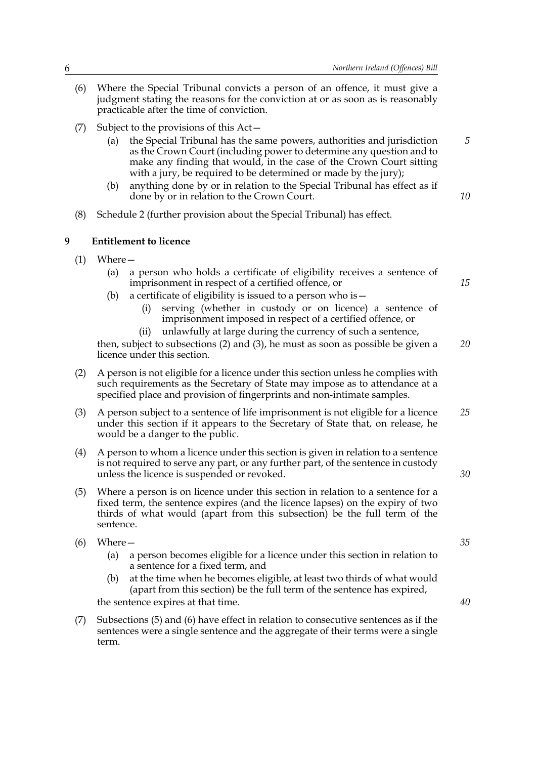- (6) Where the Special Tribunal convicts a person of an offence, it must give a judgment stating the reasons for the conviction at or as soon as is reasonably practicable after the time of conviction.
- (7) Subject to the provisions of this  $Act-$ 
	- (a) the Special Tribunal has the same powers, authorities and jurisdiction as the Crown Court (including power to determine any question and to make any finding that would, in the case of the Crown Court sitting with a jury, be required to be determined or made by the jury);
	- (b) anything done by or in relation to the Special Tribunal has effect as if done by or in relation to the Crown Court.
- <span id="page-9-0"></span>(8) Schedule [2](#page-19-0) (further provision about the Special Tribunal) has effect.

#### **9 Entitlement to licence**

- $(1)$  Where
	- (a) a person who holds a certificate of eligibility receives a sentence of imprisonment in respect of a certified offence, or
	- (b) a certificate of eligibility is issued to a person who is  $$ 
		- serving (whether in custody or on licence) a sentence of imprisonment imposed in respect of a certified offence, or
	- (ii) unlawfully at large during the currency of such a sentence, then, subject to subsections (2) and (3), he must as soon as possible be given a licence under this section. *20*
- (2) A person is not eligible for a licence under this section unless he complies with such requirements as the Secretary of State may impose as to attendance at a specified place and provision of fingerprints and non-intimate samples.
- (3) A person subject to a sentence of life imprisonment is not eligible for a licence under this section if it appears to the Secretary of State that, on release, he would be a danger to the public. *25*
- (4) A person to whom a licence under this section is given in relation to a sentence is not required to serve any part, or any further part, of the sentence in custody unless the licence is suspended or revoked.
- (5) Where a person is on licence under this section in relation to a sentence for a fixed term, the sentence expires (and the licence lapses) on the expiry of two thirds of what would (apart from this subsection) be the full term of the sentence.
- $(6)$  Where
	- (a) a person becomes eligible for a licence under this section in relation to a sentence for a fixed term, and
	- (b) at the time when he becomes eligible, at least two thirds of what would (apart from this section) be the full term of the sentence has expired,

the sentence expires at that time.

(7) Subsections (5) and (6) have effect in relation to consecutive sentences as if the sentences were a single sentence and the aggregate of their terms were a single term.

*35*

*30*

*5*

*10*

*15*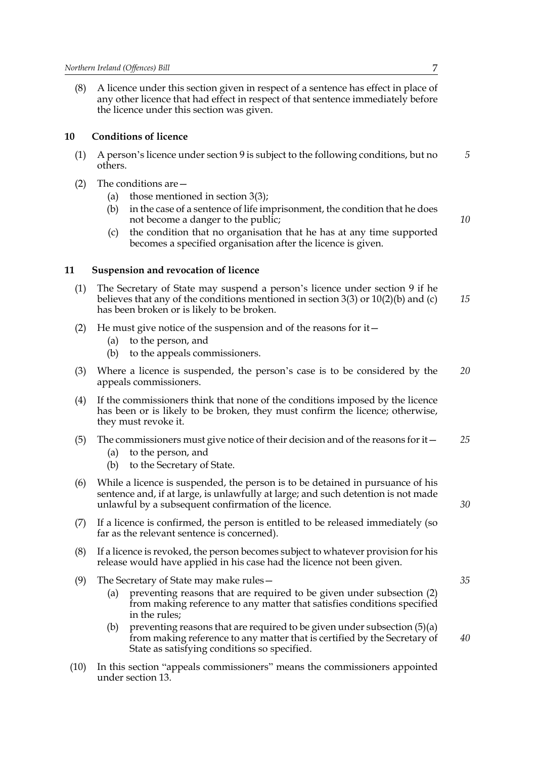(8) A licence under this section given in respect of a sentence has effect in place of any other licence that had effect in respect of that sentence immediately before the licence under this section was given.

#### <span id="page-10-0"></span>**10 Conditions of licence**

- (1) A person's licence under section  $9$  is subject to the following conditions, but no others.
- (2) The conditions are  $-$ 
	- (a) those mentioned in section 3(3);
	- (b) in the case of a sentence of life imprisonment, the condition that he does not become a danger to the public;
	- (c) the condition that no organisation that he has at any time supported becomes a specified organisation after the licence is given.

#### <span id="page-10-1"></span>**11 Suspension and revocation of licence**

- (1) The Secretary of State may suspend a person's licence under section 9 if he believes that any of the conditions mentioned in section  $3(3)$  or  $10(2)(b)$  and (c) has been broken or is likely to be broken. *15*
- (2) He must give notice of the suspension and of the reasons for it  $-$ 
	- (a) to the person, and
	- (b) to the appeals commissioners.
- (3) Where a licence is suspended, the person's case is to be considered by the appeals commissioners. *20*
- (4) If the commissioners think that none of the conditions imposed by the licence has been or is likely to be broken, they must confirm the licence; otherwise, they must revoke it.
- (5) The commissioners must give notice of their decision and of the reasons for it  $-$ *25*
	- (a) to the person, and
	- (b) to the Secretary of State.
- (6) While a licence is suspended, the person is to be detained in pursuance of his sentence and, if at large, is unlawfully at large; and such detention is not made unlawful by a subsequent confirmation of the licence.
- (7) If a licence is confirmed, the person is entitled to be released immediately (so far as the relevant sentence is concerned).
- (8) If a licence is revoked, the person becomes subject to whatever provision for his release would have applied in his case had the licence not been given.
- (9) The Secretary of State may make rules  $-$ 
	- (a) preventing reasons that are required to be given under subsection (2) from making reference to any matter that satisfies conditions specified in the rules;
	- (b) preventing reasons that are required to be given under subsection  $(5)(a)$ from making reference to any matter that is certified by the Secretary of State as satisfying conditions so specified. *40*
- $(10)$  In this section "appeals commissioners" means the commissioners appointed under section 13.

*5*

*10*

*35*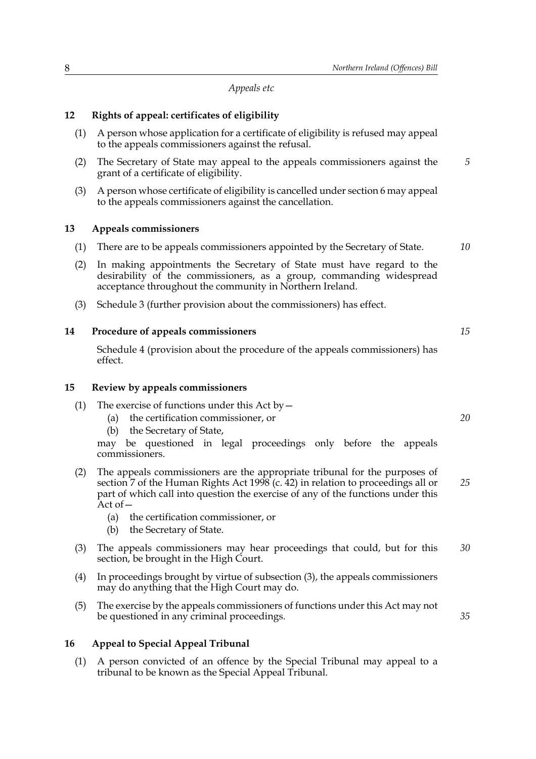*Appeals etc*

#### <span id="page-11-0"></span>**12 Rights of appeal: certificates of eligibility**

- (1) A person whose application for a certificate of eligibility is refused may appeal to the appeals commissioners against the refusal.
- (2) The Secretary of State may appeal to the appeals commissioners against the grant of a certificate of eligibility. *5*
- (3) A person whose certificate of eligibility is cancelled under section 6 may appeal to the appeals commissioners against the cancellation.

#### <span id="page-11-1"></span>**13 Appeals commissioners**

- (1) There are to be appeals commissioners appointed by the Secretary of State. *10*
- (2) In making appointments the Secretary of State must have regard to the desirability of the commissioners, as a group, commanding widespread acceptance throughout the community in Northern Ireland.
- <span id="page-11-2"></span>(3) Schedule [3](#page-21-0) (further provision about the commissioners) has effect.

#### **14 Procedure of appeals commissioners**

Schedule [4](#page-22-0) (provision about the procedure of the appeals commissioners) has effect.

#### <span id="page-11-3"></span>**15 Review by appeals commissioners**

- (1) The exercise of functions under this Act by  $-$ 
	- (a) the certification commissioner, or
	- (b) the Secretary of State,

may be questioned in legal proceedings only before the appeals commissioners.

- (2) The appeals commissioners are the appropriate tribunal for the purposes of section 7 of the Human Rights Act 1998 (c. 42) in relation to proceedings all or part of which call into question the exercise of any of the functions under this  $\tilde{A}$ ct of  $-$ *25*
	- (a) the certification commissioner, or
	- (b) the Secretary of State.
- (3) The appeals commissioners may hear proceedings that could, but for this section, be brought in the High Court. *30*
- (4) In proceedings brought by virtue of subsection (3), the appeals commissioners may do anything that the High Court may do.
- (5) The exercise by the appeals commissioners of functions under this Act may not be questioned in any criminal proceedings.

#### <span id="page-11-4"></span>**16 Appeal to Special Appeal Tribunal**

(1) A person convicted of an offence by the Special Tribunal may appeal to a tribunal to be known as the Special Appeal Tribunal.

*20*

*35*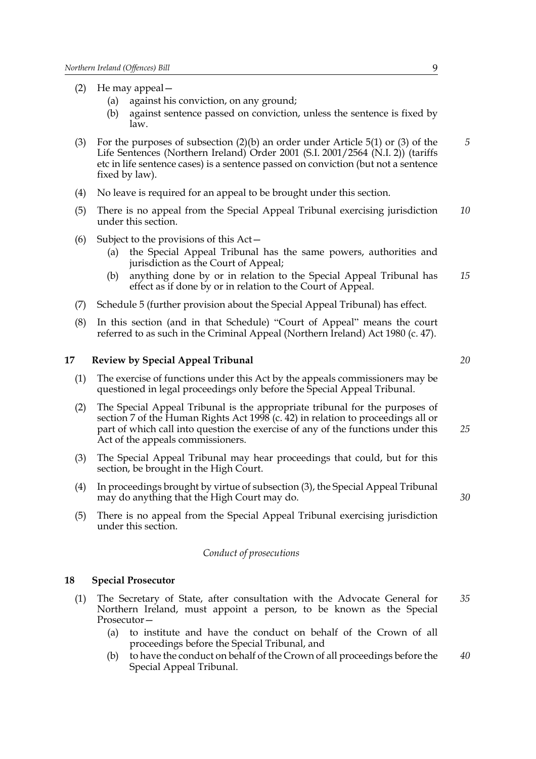- (2) He may appeal  $-$ 
	- (a) against his conviction, on any ground;
	- (b) against sentence passed on conviction, unless the sentence is fixed by law.
- (3) For the purposes of subsection (2)(b) an order under Article 5(1) or (3) of the Life Sentences (Northern Ireland) Order 2001 (S.I. 2001/2564 (N.I. 2)) (tariffs etc in life sentence cases) is a sentence passed on conviction (but not a sentence fixed by law). *5*
- (4) No leave is required for an appeal to be brought under this section.
- (5) There is no appeal from the Special Appeal Tribunal exercising jurisdiction under this section. *10*
- (6) Subject to the provisions of this  $Act-$ 
	- (a) the Special Appeal Tribunal has the same powers, authorities and jurisdiction as the Court of Appeal;
	- (b) anything done by or in relation to the Special Appeal Tribunal has effect as if done by or in relation to the Court of Appeal. *15*
- (7) Schedule [5](#page-24-0) (further provision about the Special Appeal Tribunal) has effect.
- $(8)$  In this section (and in that Schedule) "Court of Appeal" means the court referred to as such in the Criminal Appeal (Northern Ireland) Act 1980 (c. 47).

#### <span id="page-12-0"></span>**17 Review by Special Appeal Tribunal**

- (1) The exercise of functions under this Act by the appeals commissioners may be questioned in legal proceedings only before the Special Appeal Tribunal.
- (2) The Special Appeal Tribunal is the appropriate tribunal for the purposes of section 7 of the Human Rights Act 1998 (c. 42) in relation to proceedings all or part of which call into question the exercise of any of the functions under this Act of the appeals commissioners. *25*
- (3) The Special Appeal Tribunal may hear proceedings that could, but for this section, be brought in the High Court.
- (4) In proceedings brought by virtue of subsection (3), the Special Appeal Tribunal may do anything that the High Court may do.
- (5) There is no appeal from the Special Appeal Tribunal exercising jurisdiction under this section.

#### *Conduct of prosecutions*

#### <span id="page-12-1"></span>**18 Special Prosecutor**

- (1) The Secretary of State, after consultation with the Advocate General for Northern Ireland, must appoint a person, to be known as the Special Prosecutor-*35*
	- (a) to institute and have the conduct on behalf of the Crown of all proceedings before the Special Tribunal, and
	- (b) to have the conduct on behalf of the Crown of all proceedings before the Special Appeal Tribunal. *40*

*20*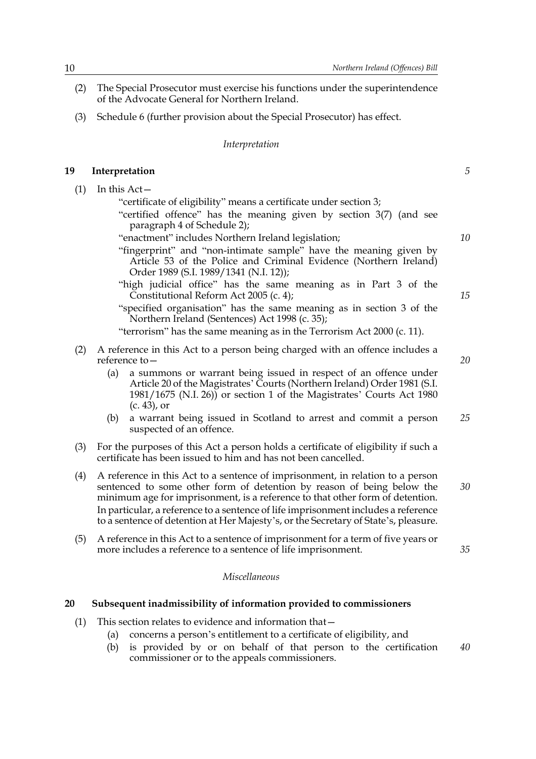- (2) The Special Prosecutor must exercise his functions under the superintendence of the Advocate General for Northern Ireland.
- (3) Schedule [6](#page-25-0) (further provision about the Special Prosecutor) has effect.

#### *Interpretation*

#### <span id="page-13-0"></span>**19 Interpretation**

(1) In this Act $-$ 

"certificate of eligibility" means a certificate under section 3;

- "certified offence" has the meaning given by section  $3(7)$  (and see paragraph [4](#page-20-0) of Schedule [2](#page-19-0));
- "enactment" includes Northern Ireland legislation;
- "fingerprint" and "non-intimate sample" have the meaning given by Article 53 of the Police and Criminal Evidence (Northern Ireland) Order 1989 (S.I. 1989/1341 (N.I. 12));
- "high judicial office" has the same meaning as in Part 3 of the Constitutional Reform Act 2005 (c. 4);
- "specified organisation" has the same meaning as in section 3 of the Northern Ireland (Sentences) Act 1998 (c. 35);

"terrorism" has the same meaning as in the Terrorism Act  $2000$  (c. 11).

- (2) A reference in this Act to a person being charged with an offence includes a reference to  $-$ 
	- (a) a summons or warrant being issued in respect of an offence under Article 20 of the Magistrates' Courts (Northern Ireland) Order 1981 (S.I.  $1981/1675$  (N.I. 26)) or section 1 of the Magistrates' Courts Act 1980 (c. 43), or
	- (b) a warrant being issued in Scotland to arrest and commit a person suspected of an offence. *25*
- (3) For the purposes of this Act a person holds a certificate of eligibility if such a certificate has been issued to him and has not been cancelled.
- (4) A reference in this Act to a sentence of imprisonment, in relation to a person sentenced to some other form of detention by reason of being below the minimum age for imprisonment, is a reference to that other form of detention. In particular, a reference to a sentence of life imprisonment includes a reference to a sentence of detention at Her Majesty's, or the Secretary of State's, pleasure.
- (5) A reference in this Act to a sentence of imprisonment for a term of five years or more includes a reference to a sentence of life imprisonment.

#### *Miscellaneous*

#### <span id="page-13-1"></span>**20 Subsequent inadmissibility of information provided to commissioners**

- (1) This section relates to evidence and information that  $-$ 
	- (a) concerns a person's entitlement to a certificate of eligibility, and
	- (b) is provided by or on behalf of that person to the certification commissioner or to the appeals commissioners. *40*

*10*

*5*

*15*

*20*

*35*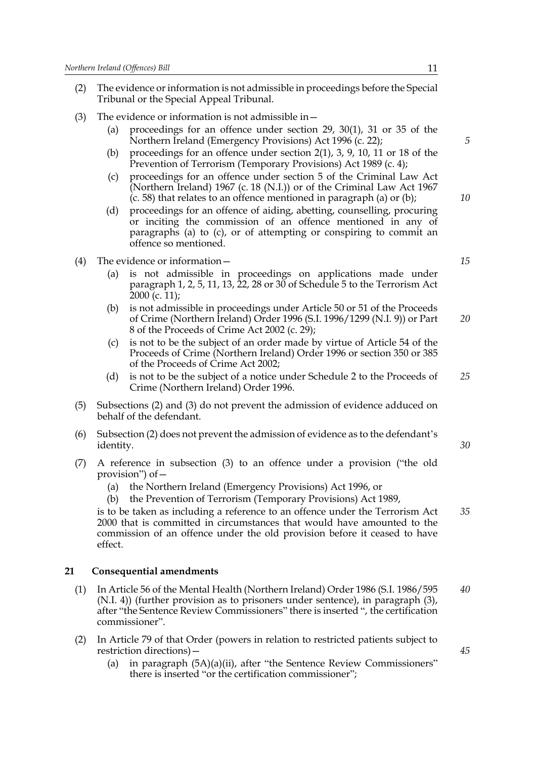- (2) The evidence or information is not admissible in proceedings before the Special Tribunal or the Special Appeal Tribunal.
- (3) The evidence or information is not admissible in  $-$ 
	- (a) proceedings for an offence under section 29, 30(1), 31 or 35 of the Northern Ireland (Emergency Provisions) Act 1996 (c. 22);
	- (b) proceedings for an offence under section 2(1), 3, 9, 10, 11 or 18 of the Prevention of Terrorism (Temporary Provisions) Act 1989 (c. 4);
	- (c) proceedings for an offence under section 5 of the Criminal Law Act (Northern Ireland) 1967 (c. 18 (N.I.)) or of the Criminal Law Act 1967 (c. 58) that relates to an offence mentioned in paragraph (a) or (b);
	- (d) proceedings for an offence of aiding, abetting, counselling, procuring or inciting the commission of an offence mentioned in any of paragraphs (a) to (c), or of attempting or conspiring to commit an offence so mentioned.
- (4) The evidence or information  $-$ 
	- (a) is not admissible in proceedings on applications made under paragraph 1, 2, 5, 11, 13,  $\overline{2}2$ , 28 or 30 of Schedule 5 to the Terrorism Act 2000 (c. 11);
	- (b) is not admissible in proceedings under Article 50 or 51 of the Proceeds of Crime (Northern Ireland) Order 1996 (S.I. 1996/1299 (N.I. 9)) or Part 8 of the Proceeds of Crime Act 2002 (c. 29); *20*
	- (c) is not to be the subject of an order made by virtue of Article 54 of the Proceeds of Crime (Northern Ireland) Order 1996 or section 350 or 385 of the Proceeds of Crime Act 2002;
	- (d) is not to be the subject of a notice under Schedule 2 to the Proceeds of Crime (Northern Ireland) Order 1996. *25*
- (5) Subsections (2) and (3) do not prevent the admission of evidence adduced on behalf of the defendant.
- $(6)$  Subsection  $(2)$  does not prevent the admission of evidence as to the defendant's identity.
- $(7)$  A reference in subsection  $(3)$  to an offence under a provision ("the old provision") of  $-$ 
	- (a) the Northern Ireland (Emergency Provisions) Act 1996, or
	- (b) the Prevention of Terrorism (Temporary Provisions) Act 1989,

is to be taken as including a reference to an offence under the Terrorism Act 2000 that is committed in circumstances that would have amounted to the commission of an offence under the old provision before it ceased to have effect. *35*

#### <span id="page-14-0"></span>**21 Consequential amendments**

- (1) In Article 56 of the Mental Health (Northern Ireland) Order 1986 (S.I. 1986/595 (N.I. 4)) (further provision as to prisoners under sentence), in paragraph (3), after "the Sentence Review Commissioners" there is inserted ", the certification commissioner". *40*
- (2) In Article 79 of that Order (powers in relation to restricted patients subject to restriction directions) $-$ 
	- (a) in paragraph  $(5A)(a)(ii)$ , after "the Sentence Review Commissioners" there is inserted "or the certification commissioner";

*5*

*10*

*15*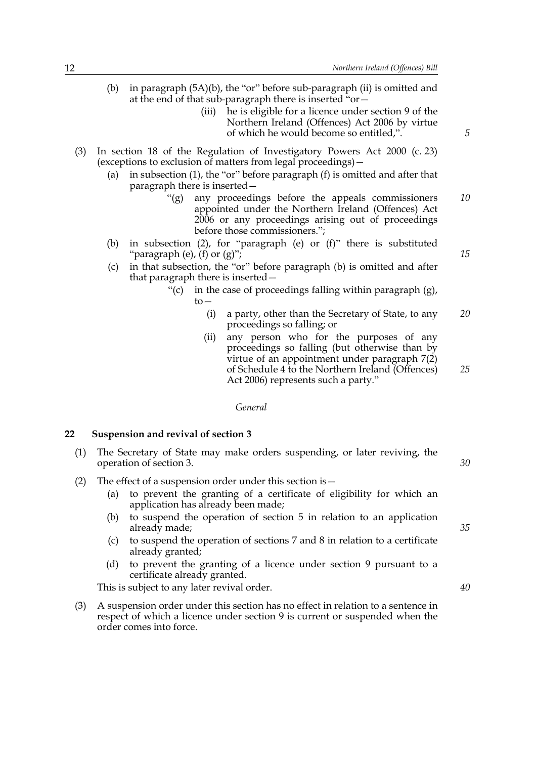- (b) in paragraph  $(5A)(b)$ , the "or" before sub-paragraph (ii) is omitted and at the end of that sub-paragraph there is inserted "or-
	- (iii) he is eligible for a licence under section 9 of the Northern Ireland (Offences) Act 2006 by virtue of which he would become so entitled,".
- (3) In section 18 of the Regulation of Investigatory Powers Act 2000 (c. 23) (exceptions to exclusion of matters from legal proceedings)  $-$ 
	- (a) in subsection (1), the "or" before paragraph (f) is omitted and after that paragraph there is inserted
		- ì(g) any proceedings before the appeals commissioners appointed under the Northern Ireland (Offences) Act 2006 or any proceedings arising out of proceedings before those commissioners."; *10*
	- (b) in subsection (2), for "paragraph (e) or (f)" there is substituted "paragraph (e), (f) or  $(g)$ ";
	- (c) in that subsection, the "or" before paragraph (b) is omitted and after that paragraph there is inserted -
		- $\degree$ (c) in the case of proceedings falling within paragraph (g),  $to-$ 
			- (i) a party, other than the Secretary of State, to any proceedings so falling; or *20*
			- (ii) any person who for the purposes of any proceedings so falling (but otherwise than by virtue of an appointment under paragraph 7(2) of Schedule [4](#page-22-0) to the Northern Ireland (Offences) Act 2006) represents such a party." *25*

*General*

#### <span id="page-15-1"></span><span id="page-15-0"></span>**22 Suspension and revival of section 3**

- (1) The Secretary of State may make orders suspending, or later reviving, the operation of section 3.
- (2) The effect of a suspension order under this section is  $-$ 
	- (a) to prevent the granting of a certificate of eligibility for which an application has already been made;
	- (b) to suspend the operation of section 5 in relation to an application already made;
	- (c) to suspend the operation of sections 7 and 8 in relation to a certificate already granted;
	- (d) to prevent the granting of a licence under section 9 pursuant to a certificate already granted.

This is subject to any later revival order.

(3) A suspension order under this section has no effect in relation to a sentence in respect of which a licence under section 9 is current or suspended when the order comes into force.

*5*

*15*

*35*

*30*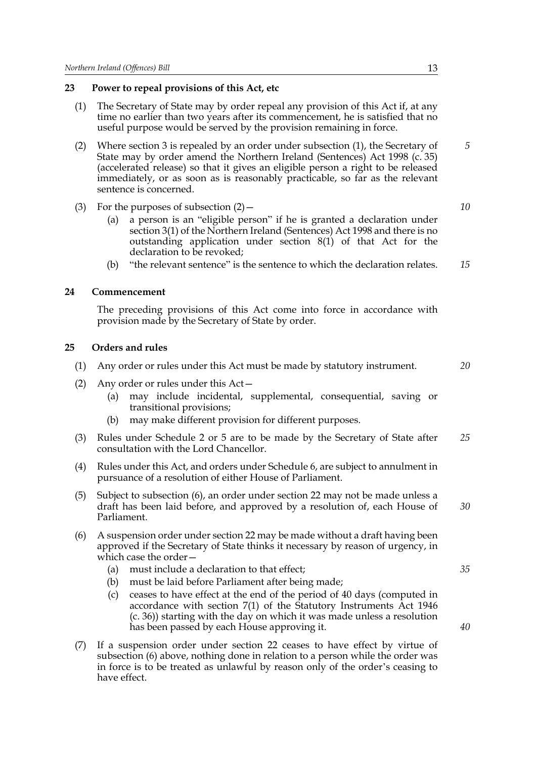#### <span id="page-16-0"></span>**23 Power to repeal provisions of this Act, etc**

- (1) The Secretary of State may by order repeal any provision of this Act if, at any time no earlier than two years after its commencement, he is satisfied that no useful purpose would be served by the provision remaining in force.
- <span id="page-16-3"></span>(2) Where section 3 is repealed by an order under subsection (1), the Secretary of State may by order amend the Northern Ireland (Sentences) Act 1998 (c. 35) (accelerated release) so that it gives an eligible person a right to be released immediately, or as soon as is reasonably practicable, so far as the relevant sentence is concerned.
- (3) For the purposes of subsection  $(2)$ 
	- (a) a person is an "eligible person" if he is granted a declaration under section 3(1) of the Northern Ireland (Sentences) Act 1998 and there is no outstanding application under section 8(1) of that Act for the declaration to be revoked;
	- $(b)$  "the relevant sentence" is the sentence to which the declaration relates. *15*

#### **24 Commencement**

<span id="page-16-1"></span>The preceding provisions of this Act come into force in accordance with provision made by the Secretary of State by order.

#### <span id="page-16-2"></span>**25 Orders and rules**

- (1) Any order or rules under this Act must be made by statutory instrument. *20*
- (2) Any order or rules under this  $Act-$ 
	- (a) may include incidental, supplemental, consequential, saving or transitional provisions;
	- (b) may make different provision for different purposes.
- (3) Rules under Schedule [2](#page-19-0) or [5](#page-24-0) are to be made by the Secretary of State after consultation with the Lord Chancellor. *25*
- (4) Rules under this Act, and orders under Schedule [6,](#page-25-0) are subject to annulment in pursuance of a resolution of either House of Parliament.
- (5) Subject to subsection [\(6\)](#page-16-4), an order under section [22](#page-15-1) may not be made unless a draft has been laid before, and approved by a resolution of, each House of Parliament. *30*
- <span id="page-16-4"></span>(6) A suspension order under section [22](#page-15-1) may be made without a draft having been approved if the Secretary of State thinks it necessary by reason of urgency, in which case the order $-$ 
	- (a) must include a declaration to that effect;
	- (b) must be laid before Parliament after being made;
	- (c) ceases to have effect at the end of the period of 40 days (computed in accordance with section 7(1) of the Statutory Instruments Act 1946 (c. 36)) starting with the day on which it was made unless a resolution has been passed by each House approving it.
- (7) If a suspension order under section [22](#page-15-1) ceases to have effect by virtue of subsection [\(6\)](#page-16-4) above, nothing done in relation to a person while the order was in force is to be treated as unlawful by reason only of the order's ceasing to have effect.

*5*

*10*

*40*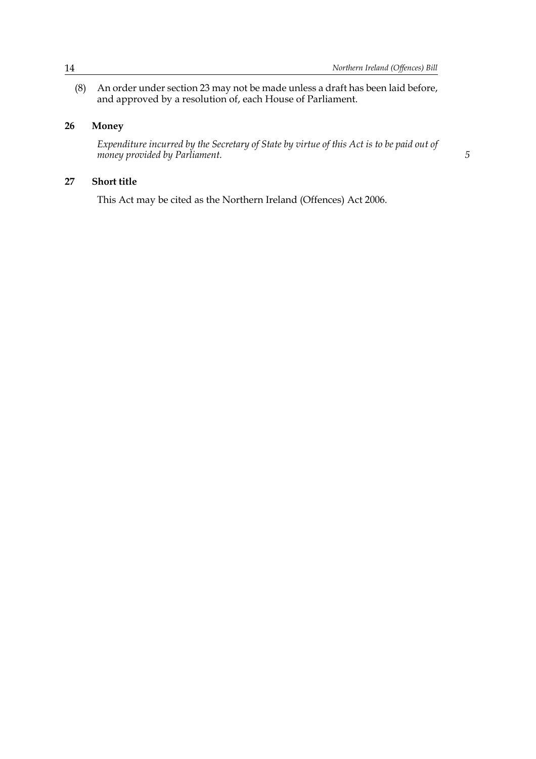*5*

(8) An order under section 23 may not be made unless a draft has been laid before, and approved by a resolution of, each House of Parliament.

#### **26 Money**

<span id="page-17-0"></span>*Expenditure incurred by the Secretary of State by virtue of this Act is to be paid out of money provided by Parliament.*

#### **27 Short title**

<span id="page-17-1"></span>This Act may be cited as the Northern Ireland (Offences) Act 2006.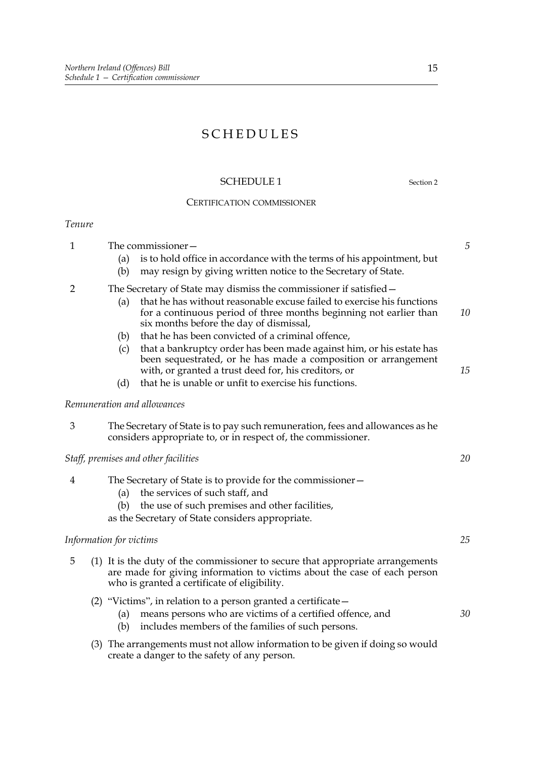### SCHEDULES

#### <span id="page-18-0"></span>SCHEDULE 1 Section [2](#page-4-1)

#### CERTIFICATION COMMISSIONER

#### *Tenure*

| $\mathbf{1}$   |                                                                    | The commissioner-                                                                                                                                                                                          |                                                                                                                                                                                                | 5  |  |  |
|----------------|--------------------------------------------------------------------|------------------------------------------------------------------------------------------------------------------------------------------------------------------------------------------------------------|------------------------------------------------------------------------------------------------------------------------------------------------------------------------------------------------|----|--|--|
|                |                                                                    | (a)                                                                                                                                                                                                        | is to hold office in accordance with the terms of his appointment, but                                                                                                                         |    |  |  |
|                |                                                                    | (b)                                                                                                                                                                                                        | may resign by giving written notice to the Secretary of State.                                                                                                                                 |    |  |  |
| 2              | The Secretary of State may dismiss the commissioner if satisfied – |                                                                                                                                                                                                            |                                                                                                                                                                                                |    |  |  |
|                |                                                                    | (a)                                                                                                                                                                                                        | that he has without reasonable excuse failed to exercise his functions<br>for a continuous period of three months beginning not earlier than<br>six months before the day of dismissal,        | 10 |  |  |
|                |                                                                    | (b)                                                                                                                                                                                                        | that he has been convicted of a criminal offence,                                                                                                                                              |    |  |  |
|                |                                                                    | (c)                                                                                                                                                                                                        | that a bankruptcy order has been made against him, or his estate has<br>been sequestrated, or he has made a composition or arrangement<br>with, or granted a trust deed for, his creditors, or | 15 |  |  |
|                |                                                                    | (d)                                                                                                                                                                                                        | that he is unable or unfit to exercise his functions.                                                                                                                                          |    |  |  |
|                |                                                                    |                                                                                                                                                                                                            | Remuneration and allowances                                                                                                                                                                    |    |  |  |
| 3              |                                                                    |                                                                                                                                                                                                            | The Secretary of State is to pay such remuneration, fees and allowances as he<br>considers appropriate to, or in respect of, the commissioner.                                                 |    |  |  |
|                |                                                                    |                                                                                                                                                                                                            | Staff, premises and other facilities                                                                                                                                                           | 20 |  |  |
| $\overline{4}$ |                                                                    | (a)                                                                                                                                                                                                        | The Secretary of State is to provide for the commissioner-<br>the services of such staff, and                                                                                                  |    |  |  |
|                |                                                                    | (b)                                                                                                                                                                                                        | the use of such premises and other facilities,                                                                                                                                                 |    |  |  |
|                |                                                                    |                                                                                                                                                                                                            | as the Secretary of State considers appropriate.                                                                                                                                               |    |  |  |
|                |                                                                    | Information for victims                                                                                                                                                                                    |                                                                                                                                                                                                | 25 |  |  |
| 5              |                                                                    | (1) It is the duty of the commissioner to secure that appropriate arrangements<br>are made for giving information to victims about the case of each person<br>who is granted a certificate of eligibility. |                                                                                                                                                                                                |    |  |  |
|                |                                                                    | (a)<br>(b)                                                                                                                                                                                                 | (2) "Victims", in relation to a person granted a certificate $-$<br>means persons who are victims of a certified offence, and<br>includes members of the families of such persons.             | 30 |  |  |
|                |                                                                    |                                                                                                                                                                                                            | (3) The arrangements must not allow information to be given if doing so would                                                                                                                  |    |  |  |

create a danger to the safety of any person.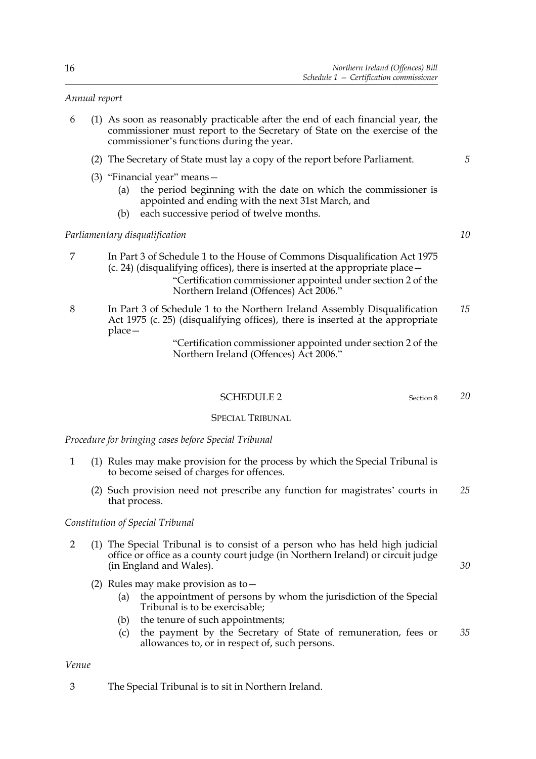#### *Annual report*

- 6 (1) As soon as reasonably practicable after the end of each financial year, the commissioner must report to the Secretary of State on the exercise of the commissioner's functions during the year.
	- (2) The Secretary of State must lay a copy of the report before Parliament.
	- (3) "Financial year" means  $-$ 
		- (a) the period beginning with the date on which the commissioner is appointed and ending with the next 31st March, and
		- (b) each successive period of twelve months.

#### *Parliamentary disqualification*

- 7 In Part 3 of Schedule 1 to the House of Commons Disqualification Act 1975 (c. 24) (disqualifying offices), there is inserted at the appropriate place  $\rightarrow$  ìCertification commissioner appointed under section [2](#page-4-1) of the Northern Ireland (Offences) Act 2006.<sup>n</sup>
- 8 In Part 3 of Schedule 1 to the Northern Ireland Assembly Disqualification Act 1975 (c. 25) (disqualifying offices), there is inserted at the appropriate  $place-$ *15*

#### ìCertification commissioner appointed under section [2](#page-4-1) of the Northern Ireland (Offences) Act 2006."

#### <span id="page-19-0"></span>SCHEDULE 2 Section [8](#page-8-1)

#### SPECIAL TRIBUNAL

*Procedure for bringing cases before Special Tribunal*

- 1 (1) Rules may make provision for the process by which the Special Tribunal is to become seised of charges for offences.
	- (2) Such provision need not prescribe any function for magistrates' courts in that process. *25*

#### *Constitution of Special Tribunal*

- 2 (1) The Special Tribunal is to consist of a person who has held high judicial office or office as a county court judge (in Northern Ireland) or circuit judge (in England and Wales).
	- (2) Rules may make provision as to  $-$ 
		- (a) the appointment of persons by whom the jurisdiction of the Special Tribunal is to be exercisable;
		- (b) the tenure of such appointments;
		- (c) the payment by the Secretary of State of remuneration, fees or allowances to, or in respect of, such persons. *35*

#### *Venue*

3 The Special Tribunal is to sit in Northern Ireland.

*10*

*20*

*30*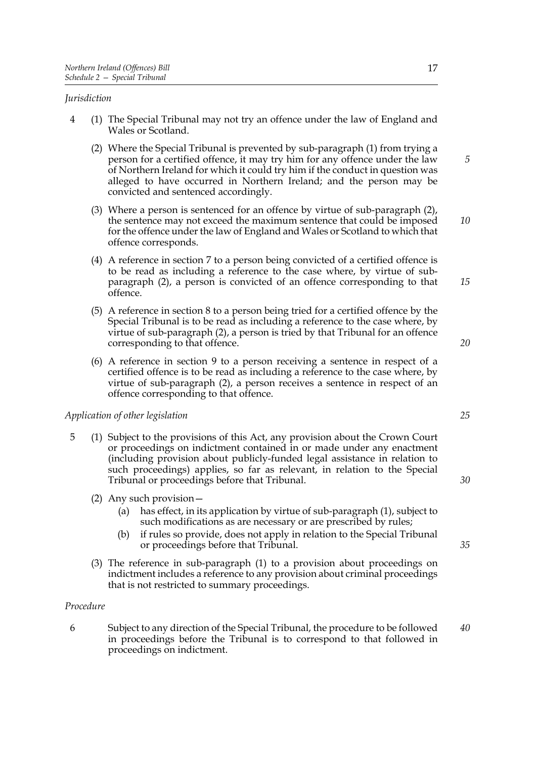#### *Jurisdiction*

- <span id="page-20-0"></span>4 (1) The Special Tribunal may not try an offence under the law of England and Wales or Scotland.
	- (2) Where the Special Tribunal is prevented by sub-paragraph (1) from trying a person for a certified offence, it may try him for any offence under the law of Northern Ireland for which it could try him if the conduct in question was alleged to have occurred in Northern Ireland; and the person may be convicted and sentenced accordingly.
	- (3) Where a person is sentenced for an offence by virtue of sub-paragraph (2), the sentence may not exceed the maximum sentence that could be imposed for the offence under the law of England and Wales or Scotland to which that offence corresponds.
	- (4) A reference in section [7](#page-8-0) to a person being convicted of a certified offence is to be read as including a reference to the case where, by virtue of subparagraph (2), a person is convicted of an offence corresponding to that offence.
	- (5) A reference in section [8](#page-8-1) to a person being tried for a certified offence by the Special Tribunal is to be read as including a reference to the case where, by virtue of sub-paragraph (2), a person is tried by that Tribunal for an offence corresponding to that offence.
	- (6) A reference in section [9](#page-9-0) to a person receiving a sentence in respect of a certified offence is to be read as including a reference to the case where, by virtue of sub-paragraph (2), a person receives a sentence in respect of an offence corresponding to that offence.

#### *Application of other legislation*

- 5 (1) Subject to the provisions of this Act, any provision about the Crown Court or proceedings on indictment contained in or made under any enactment (including provision about publicly-funded legal assistance in relation to such proceedings) applies, so far as relevant, in relation to the Special Tribunal or proceedings before that Tribunal.
	- (2) Any such provision  $-$ 
		- (a) has effect, in its application by virtue of sub-paragraph (1), subject to such modifications as are necessary or are prescribed by rules;
		- (b) if rules so provide, does not apply in relation to the Special Tribunal or proceedings before that Tribunal.
	- (3) The reference in sub-paragraph (1) to a provision about proceedings on indictment includes a reference to any provision about criminal proceedings that is not restricted to summary proceedings.

#### *Procedure*

6 Subject to any direction of the Special Tribunal, the procedure to be followed in proceedings before the Tribunal is to correspond to that followed in proceedings on indictment. *40*

*5*

*10*

*15*

*20*

*25*

*30*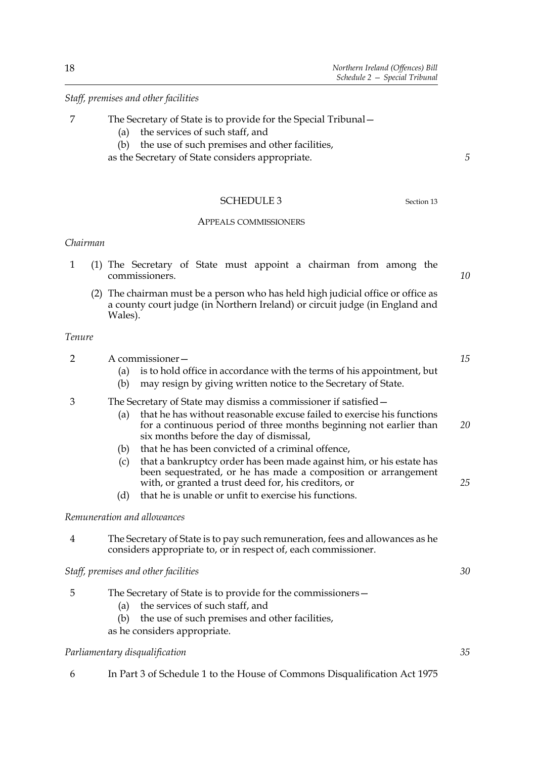#### *Staff, premises and other facilities*

- 7 The Secretary of State is to provide for the Special Tribunal
	- (a) the services of such staff, and
	- (b) the use of such premises and other facilities,

as the Secretary of State considers appropriate.

#### <span id="page-21-0"></span>SCHEDULE 3 Section [13](#page-11-1)

#### APPEALS COMMISSIONERS

#### *Chairman*

- 1 (1) The Secretary of State must appoint a chairman from among the commissioners.
	- (2) The chairman must be a person who has held high judicial office or office as a county court judge (in Northern Ireland) or circuit judge (in England and Wales).

#### *Tenure*

- 2 A commissioner
	- (a) is to hold office in accordance with the terms of his appointment, but
	- (b) may resign by giving written notice to the Secretary of State.

#### 3 The Secretary of State may dismiss a commissioner if satisfied –

- (a) that he has without reasonable excuse failed to exercise his functions for a continuous period of three months beginning not earlier than six months before the day of dismissal, *20*
- (b) that he has been convicted of a criminal offence,
- (c) that a bankruptcy order has been made against him, or his estate has been sequestrated, or he has made a composition or arrangement with, or granted a trust deed for, his creditors, or
- (d) that he is unable or unfit to exercise his functions.

#### *Remuneration and allowances*

4 The Secretary of State is to pay such remuneration, fees and allowances as he considers appropriate to, or in respect of, each commissioner.

*Staff, premises and other facilities*

- 5 The Secretary of State is to provide for the commissioners -
	- (a) the services of such staff, and
	- (b) the use of such premises and other facilities,

as he considers appropriate.

#### *Parliamentary disqualification*

6 In Part 3 of Schedule 1 to the House of Commons Disqualification Act 1975

*10*

*5*

*15*

*25*

*35*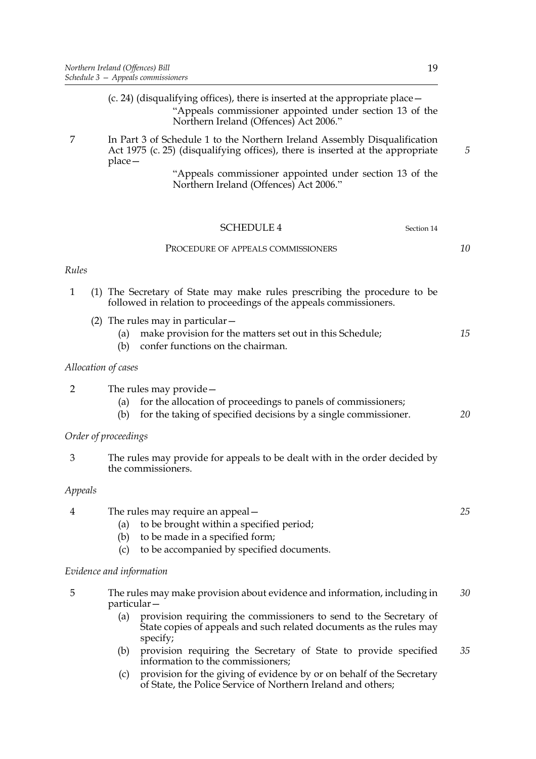(c. 24) (disqualifying offices), there is inserted at the appropriate place  $$  ìAppeals commissioner appointed under section [13](#page-11-1) of the Northern Ireland (Offences) Act 2006."

7 In Part 3 of Schedule 1 to the Northern Ireland Assembly Disqualification Act 1975 (c. 25) (disqualifying offices), there is inserted at the appropriate  $place-$ 

> <span id="page-22-0"></span> ìAppeals commissioner appointed under section [13](#page-11-1) of the Northern Ireland (Offences) Act 2006."

<span id="page-22-1"></span>

|                |                      | <b>SCHEDULE 4</b><br>Section 14                                                                                                                               |    |  |  |  |
|----------------|----------------------|---------------------------------------------------------------------------------------------------------------------------------------------------------------|----|--|--|--|
|                |                      | PROCEDURE OF APPEALS COMMISSIONERS                                                                                                                            | 10 |  |  |  |
| Rules          |                      |                                                                                                                                                               |    |  |  |  |
| $\mathbf{1}$   |                      | (1) The Secretary of State may make rules prescribing the procedure to be<br>followed in relation to proceedings of the appeals commissioners.                |    |  |  |  |
|                | (a)<br>(b)           | (2) The rules may in particular $-$<br>make provision for the matters set out in this Schedule;<br>confer functions on the chairman.                          | 15 |  |  |  |
|                | Allocation of cases  |                                                                                                                                                               |    |  |  |  |
| $\overline{2}$ | (a)<br>(b)           | The rules may provide $-$<br>for the allocation of proceedings to panels of commissioners;<br>for the taking of specified decisions by a single commissioner. | 20 |  |  |  |
|                | Order of proceedings |                                                                                                                                                               |    |  |  |  |
| 3              |                      | The rules may provide for appeals to be dealt with in the order decided by<br>the commissioners.                                                              |    |  |  |  |
| Appeals        |                      |                                                                                                                                                               |    |  |  |  |
| 4              | (a)<br>(b)<br>(c)    | The rules may require an appeal –<br>to be brought within a specified period;<br>to be made in a specified form;<br>to be accompanied by specified documents. | 25 |  |  |  |
|                |                      | Evidence and information                                                                                                                                      |    |  |  |  |
| 5              |                      | The rules may make provision about evidence and information, including in<br>particular-                                                                      | 30 |  |  |  |

- (a) provision requiring the commissioners to send to the Secretary of State copies of appeals and such related documents as the rules may specify;
- (b) provision requiring the Secretary of State to provide specified information to the commissioners; *35*
- (c) provision for the giving of evidence by or on behalf of the Secretary of State, the Police Service of Northern Ireland and others;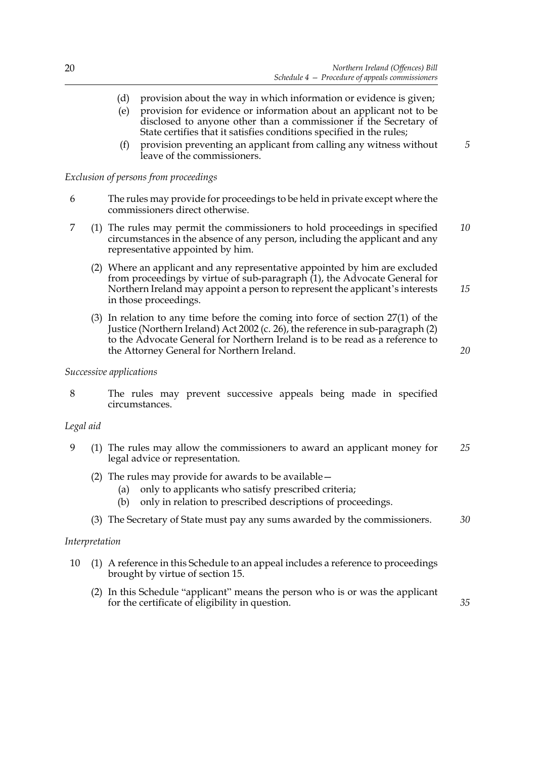- (d) provision about the way in which information or evidence is given;
- (e) provision for evidence or information about an applicant not to be disclosed to anyone other than a commissioner if the Secretary of State certifies that it satisfies conditions specified in the rules;
- (f) provision preventing an applicant from calling any witness without leave of the commissioners.

#### *Exclusion of persons from proceedings*

- 6 The rules may provide for proceedings to be held in private except where the commissioners direct otherwise.
- 7 (1) The rules may permit the commissioners to hold proceedings in specified circumstances in the absence of any person, including the applicant and any representative appointed by him. *10*
	- (2) Where an applicant and any representative appointed by him are excluded from proceedings by virtue of sub-paragraph (1), the Advocate General for Northern Ireland may appoint a person to represent the applicant's interests in those proceedings. *15*
	- (3) In relation to any time before the coming into force of section 27(1) of the Justice (Northern Ireland) Act 2002 (c. 26), the reference in sub-paragraph (2) to the Advocate General for Northern Ireland is to be read as a reference to the Attorney General for Northern Ireland.

#### *20*

*35*

*5*

#### *Successive applications*

8 The rules may prevent successive appeals being made in specified circumstances.

#### *Legal aid*

- 9 (1) The rules may allow the commissioners to award an applicant money for legal advice or representation. *25*
	- (2) The rules may provide for awards to be available  $-$ 
		- (a) only to applicants who satisfy prescribed criteria;
		- (b) only in relation to prescribed descriptions of proceedings.
	- (3) The Secretary of State must pay any sums awarded by the commissioners. *30*

#### *Interpretation*

- 10 (1) A reference in this Schedule to an appeal includes a reference to proceedings brought by virtue of section [15.](#page-11-3)
	- (2) In this Schedule "applicant" means the person who is or was the applicant for the certificate of eligibility in question.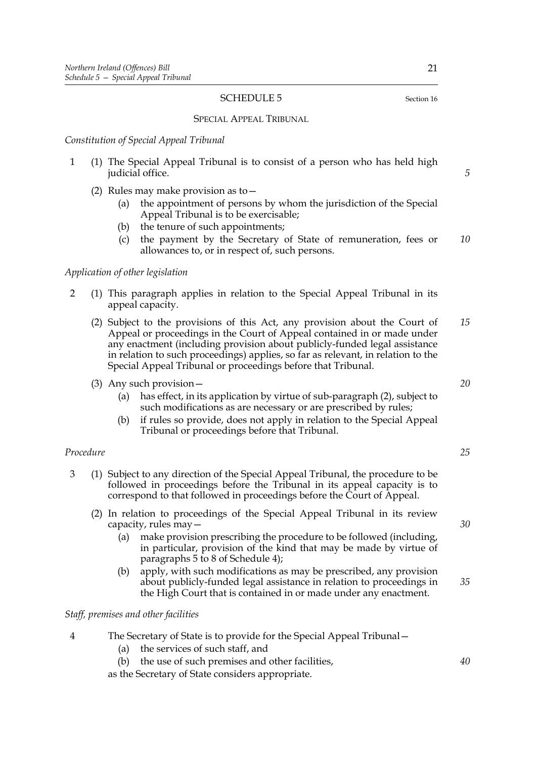#### <span id="page-24-0"></span>SCHEDULE 5 Section [16](#page-11-4)

#### SPECIAL APPEAL TRIBUNAL

#### *Constitution of Special Appeal Tribunal*

- 1 (1) The Special Appeal Tribunal is to consist of a person who has held high judicial office.
	- (2) Rules may make provision as to  $-$ 
		- (a) the appointment of persons by whom the jurisdiction of the Special Appeal Tribunal is to be exercisable;
		- (b) the tenure of such appointments;
		- (c) the payment by the Secretary of State of remuneration, fees or allowances to, or in respect of, such persons. *10*

#### *Application of other legislation*

- 2 (1) This paragraph applies in relation to the Special Appeal Tribunal in its appeal capacity.
	- (2) Subject to the provisions of this Act, any provision about the Court of Appeal or proceedings in the Court of Appeal contained in or made under any enactment (including provision about publicly-funded legal assistance in relation to such proceedings) applies, so far as relevant, in relation to the Special Appeal Tribunal or proceedings before that Tribunal. *15*
	- (3) Any such provision  $-$ 
		- (a) has effect, in its application by virtue of sub-paragraph (2), subject to such modifications as are necessary or are prescribed by rules;
		- (b) if rules so provide, does not apply in relation to the Special Appeal Tribunal or proceedings before that Tribunal.

#### *Procedure*

- 3 (1) Subject to any direction of the Special Appeal Tribunal, the procedure to be followed in proceedings before the Tribunal in its appeal capacity is to correspond to that followed in proceedings before the Court of Appeal.
	- (2) In relation to proceedings of the Special Appeal Tribunal in its review capacity, rules may  $-$ 
		- (a) make provision prescribing the procedure to be followed (including, in particular, provision of the kind that may be made by virtue of paragraphs 5 to 8 of Schedule [4\)](#page-22-1);
		- (b) apply, with such modifications as may be prescribed, any provision about publicly-funded legal assistance in relation to proceedings in the High Court that is contained in or made under any enactment.

#### *Staff, premises and other facilities*

- 4 The Secretary of State is to provide for the Special Appeal Tribunal
	- (a) the services of such staff, and
	- (b) the use of such premises and other facilities,

as the Secretary of State considers appropriate.

*5*

*20*

*25*

*30*

*35*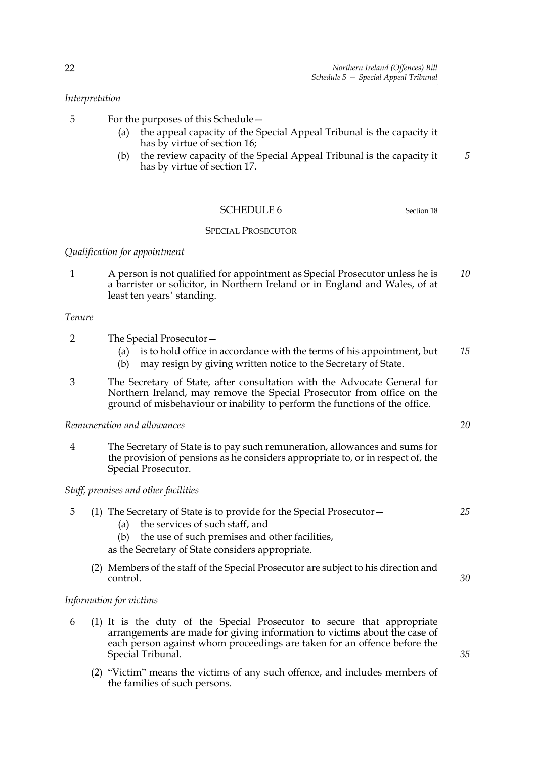#### *Interpretation*

- 5 For the purposes of this Schedule
	- (a) the appeal capacity of the Special Appeal Tribunal is the capacity it has by virtue of section [16](#page-11-4);
	- (b) the review capacity of the Special Appeal Tribunal is the capacity it has by virtue of section [17](#page-12-0). *5*

#### <span id="page-25-0"></span>SCHEDULE 6 Section [18](#page-12-1)

#### SPECIAL PROSECUTOR

#### *Qualification for appointment*

1 A person is not qualified for appointment as Special Prosecutor unless he is a barrister or solicitor, in Northern Ireland or in England and Wales, of at least ten years' standing. *10*

#### *Tenure*

- 2 The Special Prosecutor-
	- (a) is to hold office in accordance with the terms of his appointment, but *15*
	- (b) may resign by giving written notice to the Secretary of State.
- 3 The Secretary of State, after consultation with the Advocate General for Northern Ireland, may remove the Special Prosecutor from office on the ground of misbehaviour or inability to perform the functions of the office.

#### *Remuneration and allowances*

4 The Secretary of State is to pay such remuneration, allowances and sums for the provision of pensions as he considers appropriate to, or in respect of, the Special Prosecutor.

#### *Staff, premises and other facilities*

#### 5 (1) The Secretary of State is to provide for the Special Prosecutor $-$

- (a) the services of such staff, and
- (b) the use of such premises and other facilities,
- as the Secretary of State considers appropriate.
- (2) Members of the staff of the Special Prosecutor are subject to his direction and control.

#### *Information for victims*

- 6 (1) It is the duty of the Special Prosecutor to secure that appropriate arrangements are made for giving information to victims about the case of each person against whom proceedings are taken for an offence before the Special Tribunal.
	- $(2)$  "Victim" means the victims of any such offence, and includes members of the families of such persons.

*20*

*25*

*30*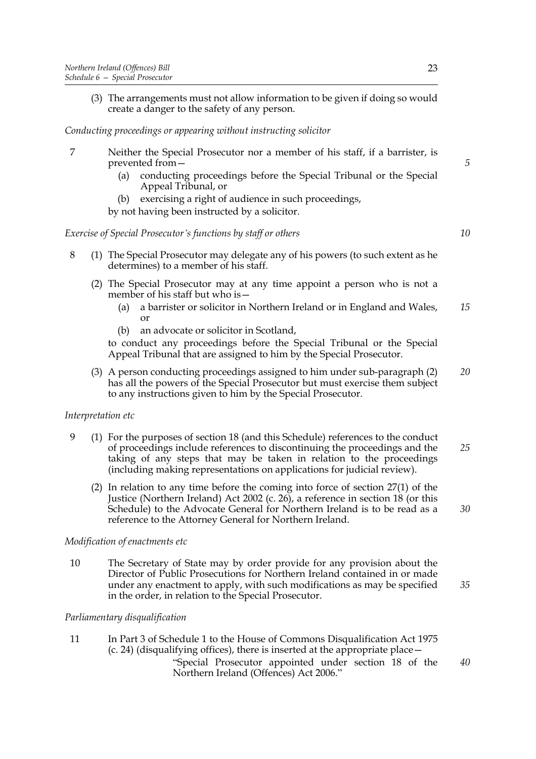(3) The arrangements must not allow information to be given if doing so would create a danger to the safety of any person.

#### *Conducting proceedings or appearing without instructing solicitor*

- 7 Neither the Special Prosecutor nor a member of his staff, if a barrister, is prevented from $-$ 
	- (a) conducting proceedings before the Special Tribunal or the Special Appeal Tribunal, or
	- (b) exercising a right of audience in such proceedings,

by not having been instructed by a solicitor.

#### *Exercise of Special Prosecutor's functions by staff or others*

- 8 (1) The Special Prosecutor may delegate any of his powers (to such extent as he determines) to a member of his staff.
	- (2) The Special Prosecutor may at any time appoint a person who is not a member of his staff but who is  $-$ 
		- (a) a barrister or solicitor in Northern Ireland or in England and Wales, or *15*
		- (b) an advocate or solicitor in Scotland,

to conduct any proceedings before the Special Tribunal or the Special Appeal Tribunal that are assigned to him by the Special Prosecutor.

(3) A person conducting proceedings assigned to him under sub-paragraph (2) has all the powers of the Special Prosecutor but must exercise them subject to any instructions given to him by the Special Prosecutor. *20*

#### *Interpretation etc*

- 9 (1) For the purposes of section [18](#page-12-1) (and this Schedule) references to the conduct of proceedings include references to discontinuing the proceedings and the taking of any steps that may be taken in relation to the proceedings (including making representations on applications for judicial review). *25*
	- (2) In relation to any time before the coming into force of section 27(1) of the Justice (Northern Ireland) Act 2002 (c. 26), a reference in section [18](#page-12-1) (or this Schedule) to the Advocate General for Northern Ireland is to be read as a reference to the Attorney General for Northern Ireland.

#### *Modification of enactments etc*

10 The Secretary of State may by order provide for any provision about the Director of Public Prosecutions for Northern Ireland contained in or made under any enactment to apply, with such modifications as may be specified in the order, in relation to the Special Prosecutor.

#### *Parliamentary disqualification*

11 In Part 3 of Schedule 1 to the House of Commons Disqualification Act 1975 (c. 24) (disqualifying offices), there is inserted at the appropriate place  $$  ìSpecial Prosecutor appointed under section [18](#page-12-1) of the Northern Ireland (Offences) Act 2006." *40*

*30*

*35*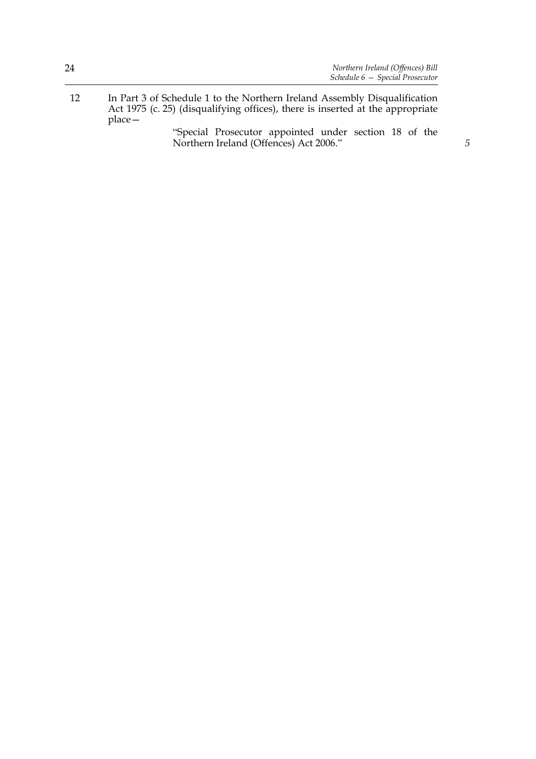12 In Part 3 of Schedule 1 to the Northern Ireland Assembly Disqualification Act 1975 (c. 25) (disqualifying offices), there is inserted at the appropriate  $place-$ 

 ìSpecial Prosecutor appointed under section [18](#page-12-1) of the Northern Ireland (Offences) Act 2006.î *5*